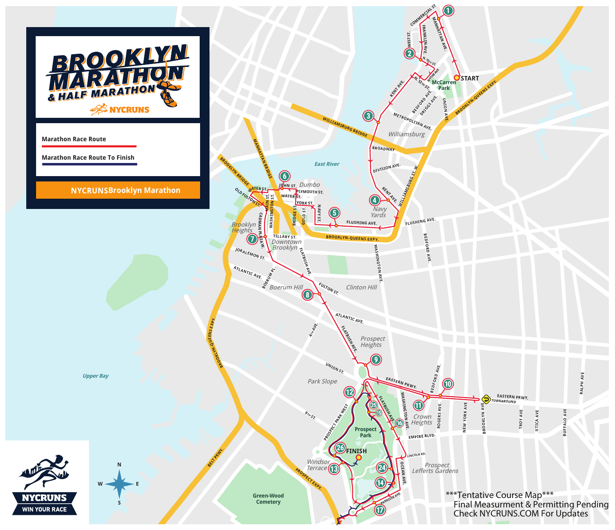